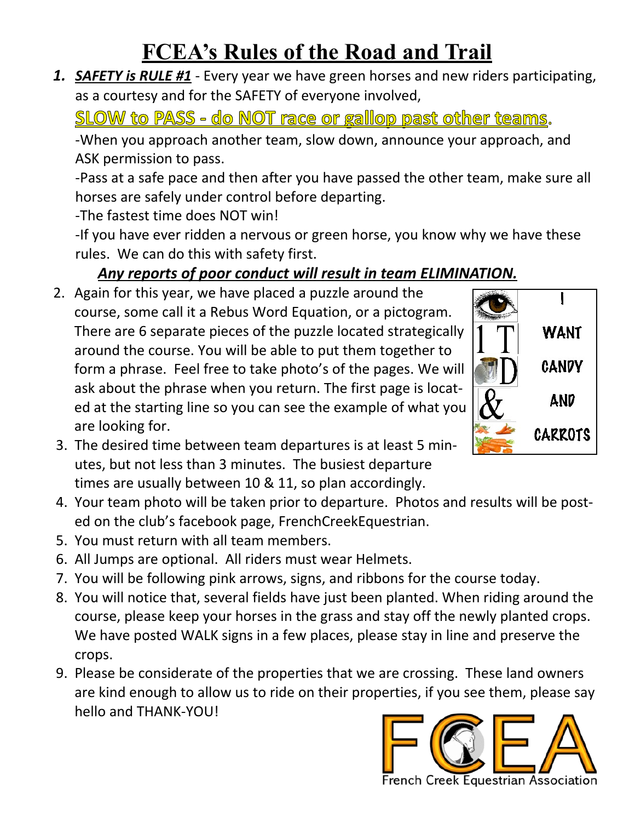## **FCEA's Rules of the Road and Trail**

*1. SAFETY is RULE #1* - Every year we have green horses and new riders participating, as a courtesy and for the SAFETY of everyone involved,

**SLOW to PASS - do NOT race or gallop past other teams**.

-When you approach another team, slow down, announce your approach, and ASK permission to pass.

-Pass at a safe pace and then after you have passed the other team, make sure all horses are safely under control before departing.

-The fastest time does NOT win!

-If you have ever ridden a nervous or green horse, you know why we have these rules. We can do this with safety first.

## *Any reports of poor conduct will result in team ELIMINATION.*

2. Again for this year, we have placed a puzzle around the course, some call it a Rebus Word Equation, or a pictogram. There are 6 separate pieces of the puzzle located strategically around the course. You will be able to put them together to form a phrase. Feel free to take photo's of the pages. We will ask about the phrase when you return. The first page is located at the starting line so you can see the example of what you are looking for.



- 3. The desired time between team departures is at least 5 minutes, but not less than 3 minutes. The busiest departure times are usually between 10 & 11, so plan accordingly.
- 4. Your team photo will be taken prior to departure. Photos and results will be posted on the club's facebook page, FrenchCreekEquestrian.
- 5. You must return with all team members.
- 6. All Jumps are optional. All riders must wear Helmets.
- 7. You will be following pink arrows, signs, and ribbons for the course today.
- 8. You will notice that, several fields have just been planted. When riding around the course, please keep your horses in the grass and stay off the newly planted crops. We have posted WALK signs in a few places, please stay in line and preserve the crops.
- 9. Please be considerate of the properties that we are crossing. These land owners are kind enough to allow us to ride on their properties, if you see them, please say hello and THANK-YOU!

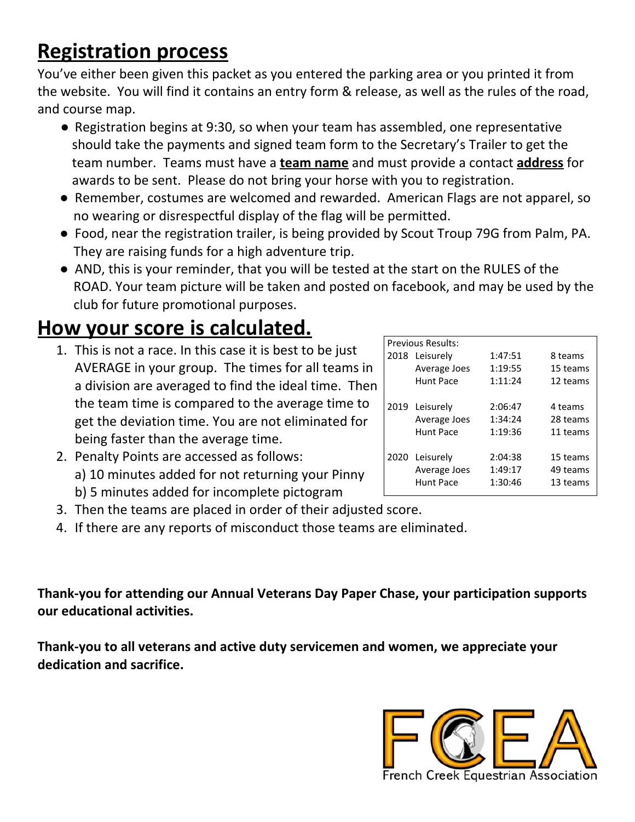## **Registration process**

You've either been given this packet as you entered the parking area or you printed it from the website. You will find it contains an entry form & release, as well as the rules of the road, and course map.

- Registration begins at 9:30, so when your team has assembled, one representative should take the payments and signed team form to the Secretary's Trailer to get the team number. Teams must have a **team name** and must provide a contact **address** for awards to be sent. Please do not bring your horse with you to registration.
- Remember, costumes are welcomed and rewarded. American Flags are not apparel, so no wearing or disrespectful display of the flag will be permitted.
- Food, near the registration trailer, is being provided by Scout Troup 79G from Palm, PA. They are raising funds for a high adventure trip.
- AND, this is your reminder, that you will be tested at the start on the RULES of the ROAD. Your team picture will be taken and posted on facebook, and may be used by the club for future promotional purposes.

## **How your score is calculated.**

- 1. This is not a race. In this case it is best to be just AVERAGE in your group. The times for all teams in a division are averaged to find the ideal time. Then the team time is compared to the average time to get the deviation time. You are not eliminated for being faster than the average time.
- 2. Penalty Points are accessed as follows: a) 10 minutes added for not returning your Pinny b) 5 minutes added for incomplete pictogram
- 3. Then the teams are placed in order of their adjusted score.
- 4. If there are any reports of misconduct those teams are eliminated.

**Thank-you for attending our Annual Veterans Day Paper Chase, your participation supports our educational activities.**

**Thank-you to all veterans and active duty servicemen and women, we appreciate your dedication and sacrifice.**



| <b>Previous Results:</b> |                |         |          |  |
|--------------------------|----------------|---------|----------|--|
|                          | 2018 Leisurely | 1:47:51 | 8 teams  |  |
|                          | Average Joes   | 1:19:55 | 15 teams |  |
|                          | Hunt Pace      | 1:11:24 | 12 teams |  |
|                          |                |         |          |  |
|                          | 2019 Leisurely | 2:06:47 | 4 teams  |  |
|                          | Average Joes   | 1:34:24 | 28 teams |  |
|                          | Hunt Pace      | 1:19:36 | 11 teams |  |
|                          |                |         |          |  |
|                          | 2020 Leisurely | 2:04:38 | 15 teams |  |
|                          | Average Joes   | 1:49:17 | 49 teams |  |
|                          | Hunt Pace      | 1:30:46 | 13 teams |  |